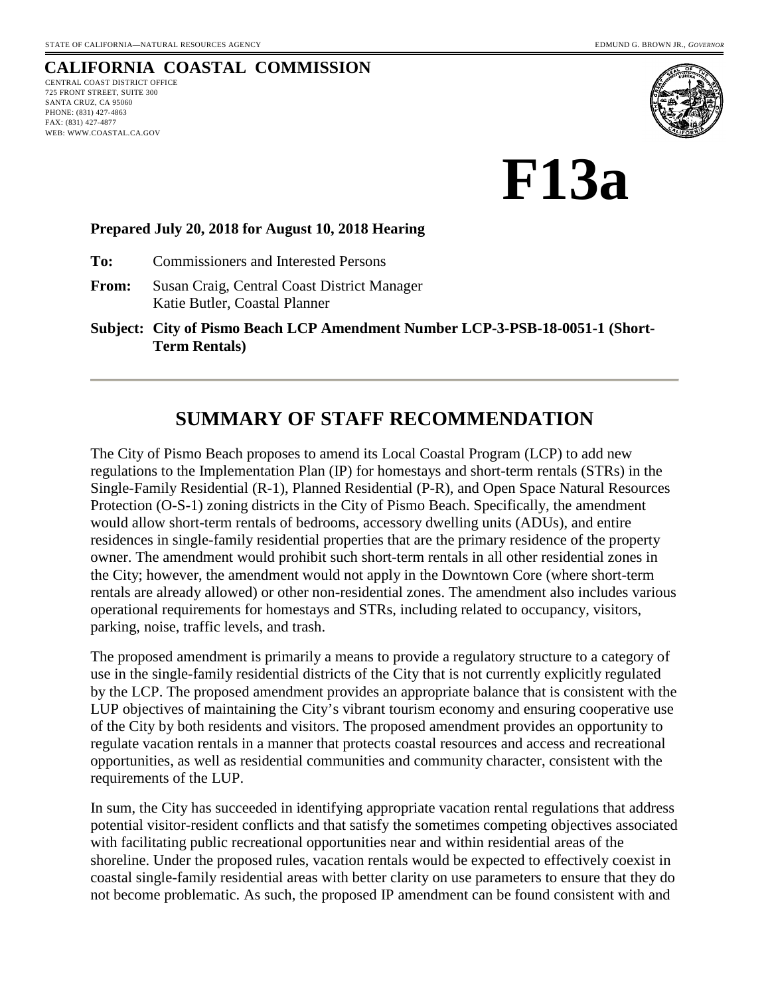# **CALIFORNIA COASTAL COMMISSION**

CENTRAL COAST DISTRICT OFFICE 725 FRONT STREET, SUITE 300 SANTA CRUZ, CA 95060 PHONE: (831) 427-4863 FAX: (831) 427-4877 WEB: WWW.COASTAL.CA.GOV



**F13a** 

#### **Prepared July 20, 2018 for August 10, 2018 Hearing**

**To:** Commissioners and Interested Persons

**From:** Susan Craig, Central Coast District Manager Katie Butler, Coastal Planner

**Subject: City of Pismo Beach LCP Amendment Number LCP-3-PSB-18-0051-1 (Short-Term Rentals)**

# **SUMMARY OF STAFF RECOMMENDATION**

The City of Pismo Beach proposes to amend its Local Coastal Program (LCP) to add new regulations to the Implementation Plan (IP) for homestays and short-term rentals (STRs) in the Single-Family Residential (R-1), Planned Residential (P-R), and Open Space Natural Resources Protection (O-S-1) zoning districts in the City of Pismo Beach. Specifically, the amendment would allow short-term rentals of bedrooms, accessory dwelling units (ADUs), and entire residences in single-family residential properties that are the primary residence of the property owner. The amendment would prohibit such short-term rentals in all other residential zones in the City; however, the amendment would not apply in the Downtown Core (where short-term rentals are already allowed) or other non-residential zones. The amendment also includes various operational requirements for homestays and STRs, including related to occupancy, visitors, parking, noise, traffic levels, and trash.

The proposed amendment is primarily a means to provide a regulatory structure to a category of use in the single-family residential districts of the City that is not currently explicitly regulated by the LCP. The proposed amendment provides an appropriate balance that is consistent with the LUP objectives of maintaining the City's vibrant tourism economy and ensuring cooperative use of the City by both residents and visitors. The proposed amendment provides an opportunity to regulate vacation rentals in a manner that protects coastal resources and access and recreational opportunities, as well as residential communities and community character, consistent with the requirements of the LUP.

In sum, the City has succeeded in identifying appropriate vacation rental regulations that address potential visitor-resident conflicts and that satisfy the sometimes competing objectives associated with facilitating public recreational opportunities near and within residential areas of the shoreline. Under the proposed rules, vacation rentals would be expected to effectively coexist in coastal single-family residential areas with better clarity on use parameters to ensure that they do not become problematic. As such, the proposed IP amendment can be found consistent with and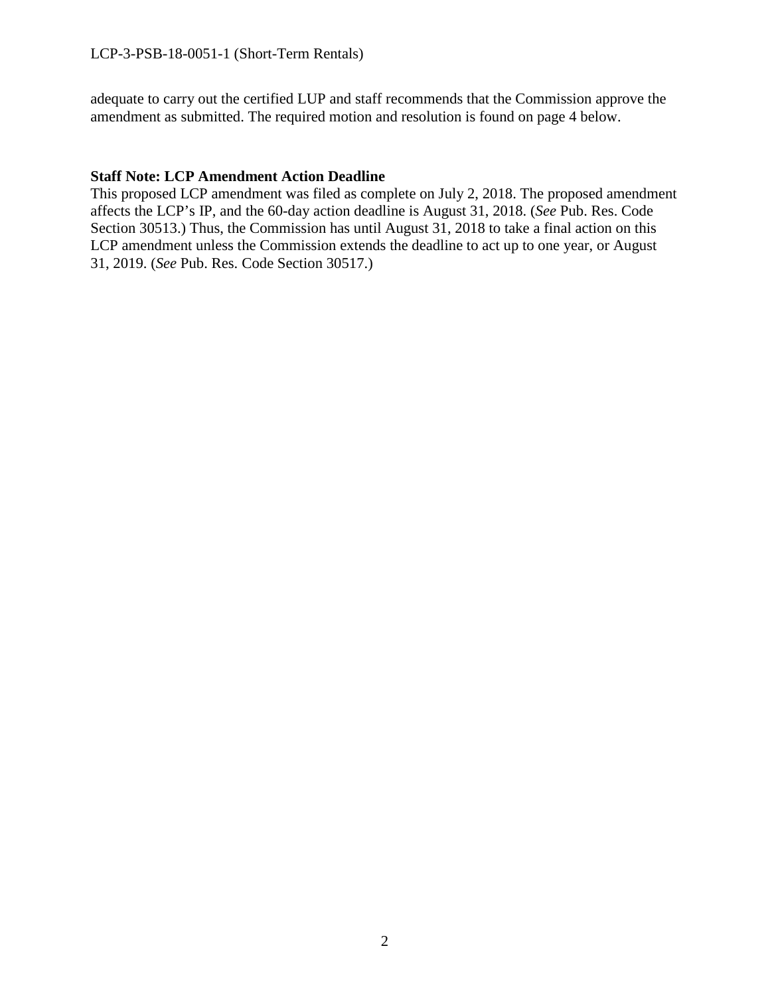adequate to carry out the certified LUP and staff recommends that the Commission approve the amendment as submitted. The required motion and resolution is found on page 4 below.

#### **Staff Note: LCP Amendment Action Deadline**

This proposed LCP amendment was filed as complete on July 2, 2018. The proposed amendment affects the LCP's IP, and the 60-day action deadline is August 31, 2018. (*See* Pub. Res. Code Section 30513.) Thus, the Commission has until August 31, 2018 to take a final action on this LCP amendment unless the Commission extends the deadline to act up to one year, or August 31, 2019. (*See* Pub. Res. Code Section 30517.)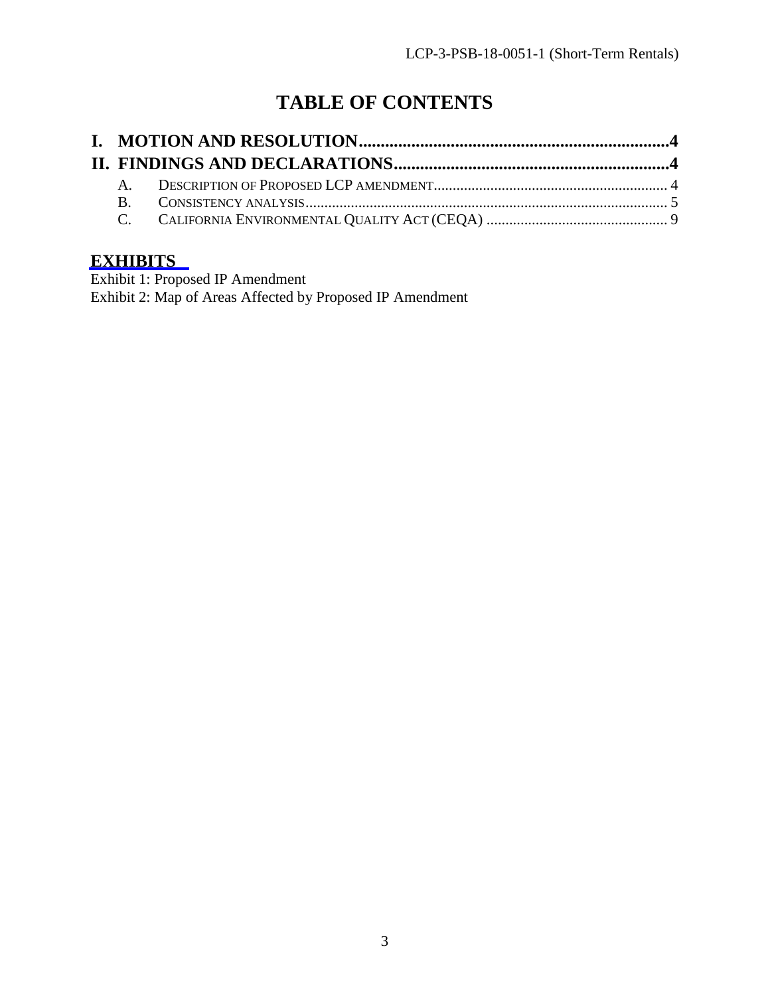# **TABLE OF CONTENTS**

# **[EXHIBITS](https://documents.coastal.ca.gov/reports/2018/8/F13a/F13a-8-2018-exhibits.pdf)**

Exhibit 1: Proposed IP Amendment Exhibit 2: Map of Areas Affected by Proposed IP Amendment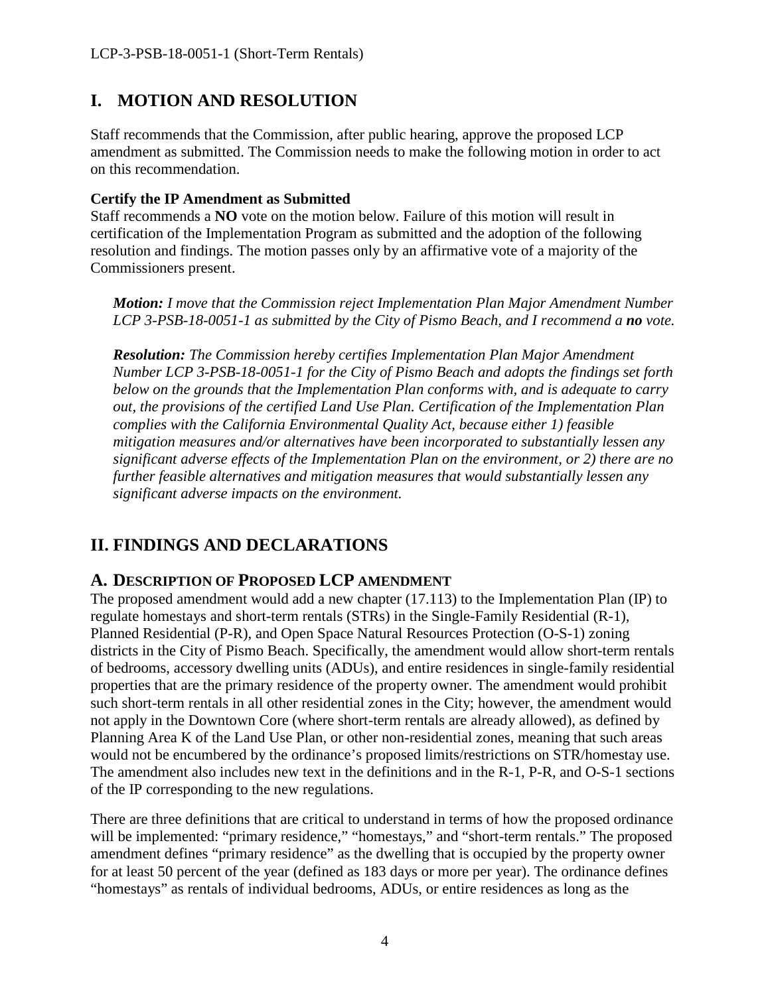# <span id="page-3-0"></span>**I. MOTION AND RESOLUTION**

Staff recommends that the Commission, after public hearing, approve the proposed LCP amendment as submitted. The Commission needs to make the following motion in order to act on this recommendation.

#### **Certify the IP Amendment as Submitted**

Staff recommends a **NO** vote on the motion below. Failure of this motion will result in certification of the Implementation Program as submitted and the adoption of the following resolution and findings. The motion passes only by an affirmative vote of a majority of the Commissioners present.

*Motion: I move that the Commission reject Implementation Plan Major Amendment Number LCP 3-PSB-18-0051-1 as submitted by the City of Pismo Beach, and I recommend a no vote.* 

*Resolution: The Commission hereby certifies Implementation Plan Major Amendment Number LCP 3-PSB-18-0051-1 for the City of Pismo Beach and adopts the findings set forth below on the grounds that the Implementation Plan conforms with, and is adequate to carry out, the provisions of the certified Land Use Plan. Certification of the Implementation Plan complies with the California Environmental Quality Act, because either 1) feasible mitigation measures and/or alternatives have been incorporated to substantially lessen any significant adverse effects of the Implementation Plan on the environment, or 2) there are no further feasible alternatives and mitigation measures that would substantially lessen any significant adverse impacts on the environment.* 

# <span id="page-3-1"></span>**II. FINDINGS AND DECLARATIONS**

## <span id="page-3-2"></span>**A. DESCRIPTION OF PROPOSED LCP AMENDMENT**

The proposed amendment would add a new chapter (17.113) to the Implementation Plan (IP) to regulate homestays and short-term rentals (STRs) in the Single-Family Residential (R-1), Planned Residential (P-R), and Open Space Natural Resources Protection (O-S-1) zoning districts in the City of Pismo Beach. Specifically, the amendment would allow short-term rentals of bedrooms, accessory dwelling units (ADUs), and entire residences in single-family residential properties that are the primary residence of the property owner. The amendment would prohibit such short-term rentals in all other residential zones in the City; however, the amendment would not apply in the Downtown Core (where short-term rentals are already allowed), as defined by Planning Area K of the Land Use Plan, or other non-residential zones, meaning that such areas would not be encumbered by the ordinance's proposed limits/restrictions on STR/homestay use. The amendment also includes new text in the definitions and in the R-1, P-R, and O-S-1 sections of the IP corresponding to the new regulations.

There are three definitions that are critical to understand in terms of how the proposed ordinance will be implemented: "primary residence," "homestays," and "short-term rentals." The proposed amendment defines "primary residence" as the dwelling that is occupied by the property owner for at least 50 percent of the year (defined as 183 days or more per year). The ordinance defines "homestays" as rentals of individual bedrooms, ADUs, or entire residences as long as the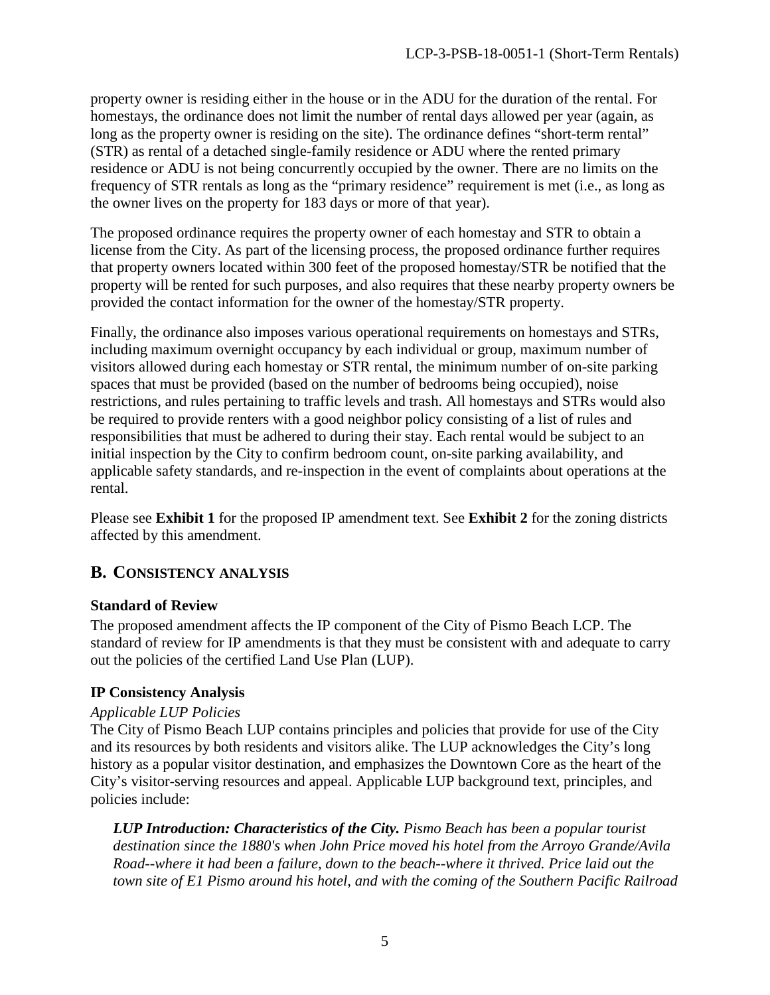property owner is residing either in the house or in the ADU for the duration of the rental. For homestays, the ordinance does not limit the number of rental days allowed per year (again, as long as the property owner is residing on the site). The ordinance defines "short-term rental" (STR) as rental of a detached single-family residence or ADU where the rented primary residence or ADU is not being concurrently occupied by the owner. There are no limits on the frequency of STR rentals as long as the "primary residence" requirement is met (i.e., as long as the owner lives on the property for 183 days or more of that year).

The proposed ordinance requires the property owner of each homestay and STR to obtain a license from the City. As part of the licensing process, the proposed ordinance further requires that property owners located within 300 feet of the proposed homestay/STR be notified that the property will be rented for such purposes, and also requires that these nearby property owners be provided the contact information for the owner of the homestay/STR property.

Finally, the ordinance also imposes various operational requirements on homestays and STRs, including maximum overnight occupancy by each individual or group, maximum number of visitors allowed during each homestay or STR rental, the minimum number of on-site parking spaces that must be provided (based on the number of bedrooms being occupied), noise restrictions, and rules pertaining to traffic levels and trash. All homestays and STRs would also be required to provide renters with a good neighbor policy consisting of a list of rules and responsibilities that must be adhered to during their stay. Each rental would be subject to an initial inspection by the City to confirm bedroom count, on-site parking availability, and applicable safety standards, and re-inspection in the event of complaints about operations at the rental.

Please see **Exhibit 1** for the proposed IP amendment text. See **Exhibit 2** for the zoning districts affected by this amendment.

## <span id="page-4-0"></span>**B. CONSISTENCY ANALYSIS**

## **Standard of Review**

The proposed amendment affects the IP component of the City of Pismo Beach LCP. The standard of review for IP amendments is that they must be consistent with and adequate to carry out the policies of the certified Land Use Plan (LUP).

## **IP Consistency Analysis**

#### *Applicable LUP Policies*

The City of Pismo Beach LUP contains principles and policies that provide for use of the City and its resources by both residents and visitors alike. The LUP acknowledges the City's long history as a popular visitor destination, and emphasizes the Downtown Core as the heart of the City's visitor-serving resources and appeal. Applicable LUP background text, principles, and policies include:

*LUP Introduction: Characteristics of the City. Pismo Beach has been a popular tourist destination since the 1880's when John Price moved his hotel from the Arroyo Grande/Avila Road--where it had been a failure, down to the beach--where it thrived. Price laid out the town site of E1 Pismo around his hotel, and with the coming of the Southern Pacific Railroad*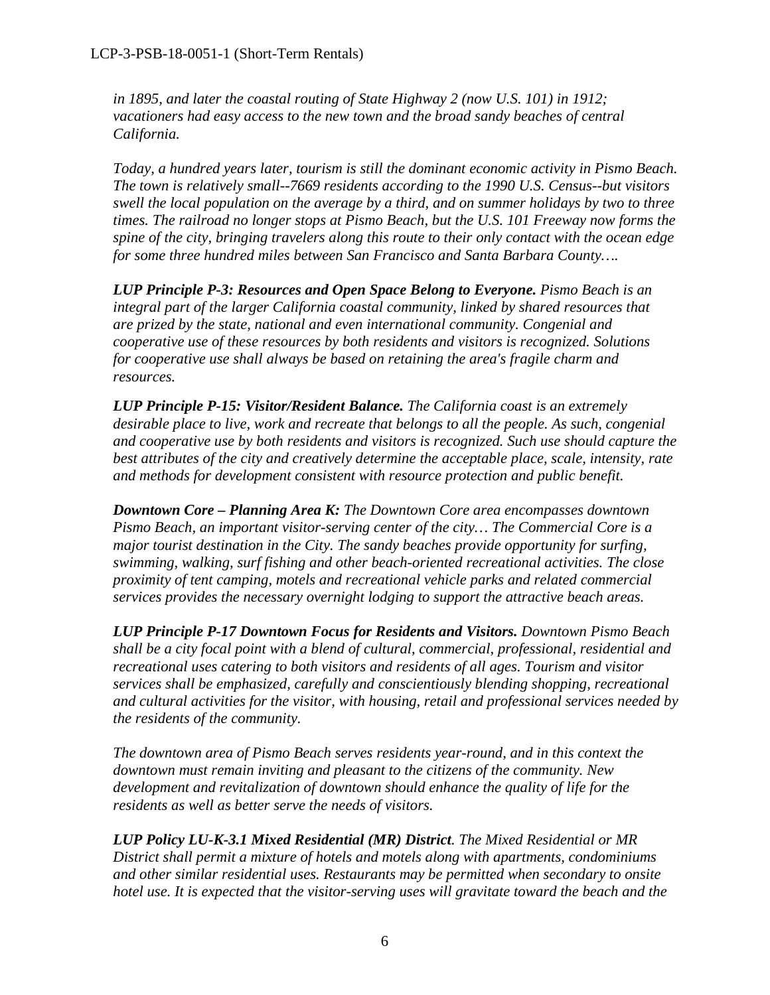*in 1895, and later the coastal routing of State Highway 2 (now U.S. 101) in 1912; vacationers had easy access to the new town and the broad sandy beaches of central California.* 

*Today, a hundred years later, tourism is still the dominant economic activity in Pismo Beach. The town is relatively small--7669 residents according to the 1990 U.S. Census--but visitors swell the local population on the average by a third, and on summer holidays by two to three times. The railroad no longer stops at Pismo Beach, but the U.S. 101 Freeway now forms the spine of the city, bringing travelers along this route to their only contact with the ocean edge for some three hundred miles between San Francisco and Santa Barbara County….*

**LUP Principle P-3: Resources and Open Space Belong to Everyone.** Pismo Beach is an *integral part of the larger California coastal community, linked by shared resources that are prized by the state, national and even international community. Congenial and cooperative use of these resources by both residents and visitors is recognized. Solutions for cooperative use shall always be based on retaining the area's fragile charm and resources.*

*LUP Principle P-15: Visitor/Resident Balance. The California coast is an extremely desirable place to live, work and recreate that belongs to all the people. As such, congenial and cooperative use by both residents and visitors is recognized. Such use should capture the best attributes of the city and creatively determine the acceptable place, scale, intensity, rate and methods for development consistent with resource protection and public benefit.* 

*Downtown Core – Planning Area K: The Downtown Core area encompasses downtown Pismo Beach, an important visitor-serving center of the city… The Commercial Core is a major tourist destination in the City. The sandy beaches provide opportunity for surfing, swimming, walking, surf fishing and other beach-oriented recreational activities. The close proximity of tent camping, motels and recreational vehicle parks and related commercial services provides the necessary overnight lodging to support the attractive beach areas.*

*LUP Principle P-17 Downtown Focus for Residents and Visitors. Downtown Pismo Beach shall be a city focal point with a blend of cultural, commercial, professional, residential and recreational uses catering to both visitors and residents of all ages. Tourism and visitor services shall be emphasized, carefully and conscientiously blending shopping, recreational and cultural activities for the visitor, with housing, retail and professional services needed by the residents of the community.* 

*The downtown area of Pismo Beach serves residents year-round, and in this context the downtown must remain inviting and pleasant to the citizens of the community. New development and revitalization of downtown should enhance the quality of life for the residents as well as better serve the needs of visitors.*

*LUP Policy LU-K-3.1 Mixed Residential (MR) District. The Mixed Residential or MR District shall permit a mixture of hotels and motels along with apartments, condominiums and other similar residential uses. Restaurants may be permitted when secondary to onsite hotel use. It is expected that the visitor-serving uses will gravitate toward the beach and the*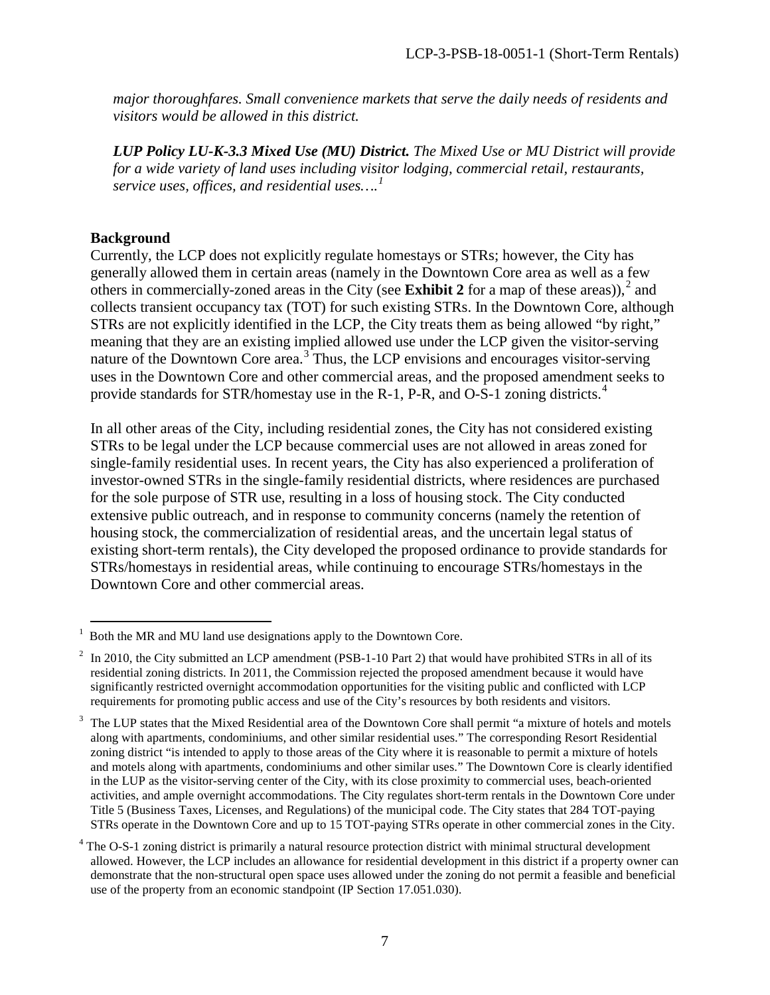*major thoroughfares. Small convenience markets that serve the daily needs of residents and visitors would be allowed in this district.*

*LUP Policy LU-K-3.3 Mixed Use (MU) District. The Mixed Use or MU District will provide for a wide variety of land uses including visitor lodging, commercial retail, restaurants, service uses, offices, and residential uses….[1](#page-6-0)*

#### **Background**

Currently, the LCP does not explicitly regulate homestays or STRs; however, the City has generally allowed them in certain areas (namely in the Downtown Core area as well as a few others in commercially-zoned areas in the City (see **Exhibit [2](#page-6-1)** for a map of these areas)),  $2$  and collects transient occupancy tax (TOT) for such existing STRs. In the Downtown Core, although STRs are not explicitly identified in the LCP, the City treats them as being allowed "by right," meaning that they are an existing implied allowed use under the LCP given the visitor-serving nature of the Downtown Core area.<sup>[3](#page-6-2)</sup> Thus, the LCP envisions and encourages visitor-serving uses in the Downtown Core and other commercial areas, and the proposed amendment seeks to provide standards for STR/homestay use in the R-1, P-R, and O-S-1 zoning districts.<sup>[4](#page-6-3)</sup>

In all other areas of the City, including residential zones, the City has not considered existing STRs to be legal under the LCP because commercial uses are not allowed in areas zoned for single-family residential uses. In recent years, the City has also experienced a proliferation of investor-owned STRs in the single-family residential districts, where residences are purchased for the sole purpose of STR use, resulting in a loss of housing stock. The City conducted extensive public outreach, and in response to community concerns (namely the retention of housing stock, the commercialization of residential areas, and the uncertain legal status of existing short-term rentals), the City developed the proposed ordinance to provide standards for STRs/homestays in residential areas, while continuing to encourage STRs/homestays in the Downtown Core and other commercial areas.

<span id="page-6-0"></span><sup>&</sup>lt;sup>1</sup> Both the MR and MU land use designations apply to the Downtown Core.

<span id="page-6-1"></span><sup>2</sup> In 2010, the City submitted an LCP amendment (PSB-1-10 Part 2) that would have prohibited STRs in all of its residential zoning districts. In 2011, the Commission rejected the proposed amendment because it would have significantly restricted overnight accommodation opportunities for the visiting public and conflicted with LCP requirements for promoting public access and use of the City's resources by both residents and visitors.

<span id="page-6-2"></span><sup>&</sup>lt;sup>3</sup> The LUP states that the Mixed Residential area of the Downtown Core shall permit "a mixture of hotels and motels along with apartments, condominiums, and other similar residential uses." The corresponding Resort Residential zoning district "is intended to apply to those areas of the City where it is reasonable to permit a mixture of hotels and motels along with apartments, condominiums and other similar uses." The Downtown Core is clearly identified in the LUP as the visitor-serving center of the City, with its close proximity to commercial uses, beach-oriented activities, and ample overnight accommodations. The City regulates short-term rentals in the Downtown Core under Title 5 (Business Taxes, Licenses, and Regulations) of the municipal code. The City states that 284 TOT-paying STRs operate in the Downtown Core and up to 15 TOT-paying STRs operate in other commercial zones in the City.

<span id="page-6-3"></span><sup>&</sup>lt;sup>4</sup> The O-S-1 zoning district is primarily a natural resource protection district with minimal structural development allowed. However, the LCP includes an allowance for residential development in this district if a property owner can demonstrate that the non-structural open space uses allowed under the zoning do not permit a feasible and beneficial use of the property from an economic standpoint (IP Section 17.051.030).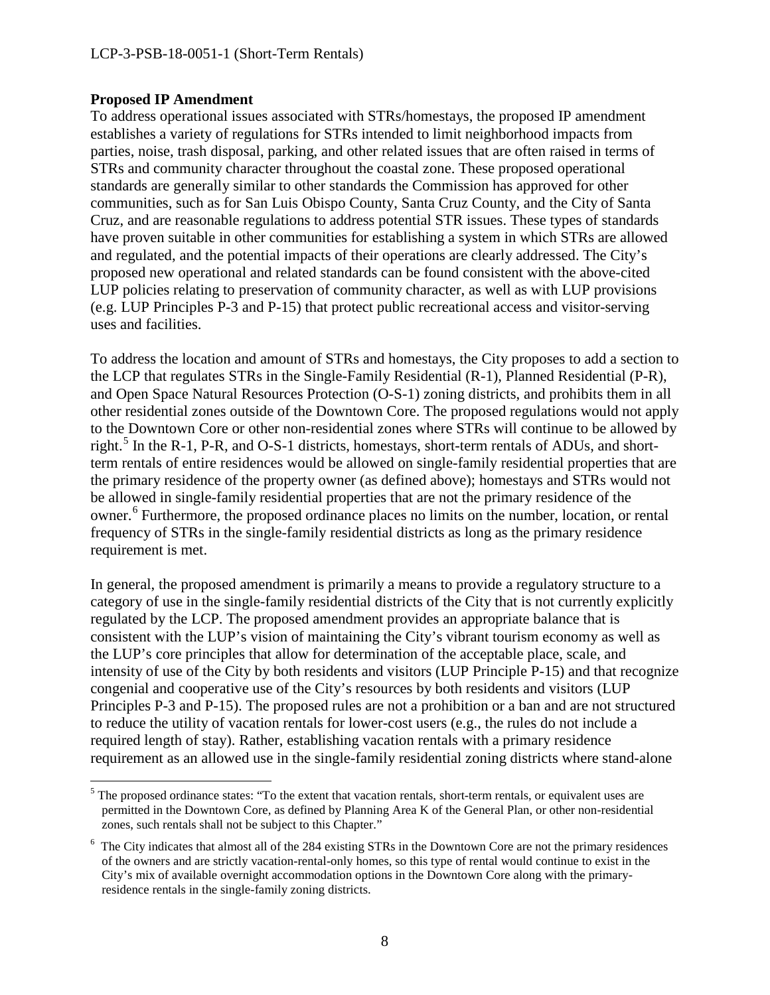#### **Proposed IP Amendment**

 $\overline{a}$ 

To address operational issues associated with STRs/homestays, the proposed IP amendment establishes a variety of regulations for STRs intended to limit neighborhood impacts from parties, noise, trash disposal, parking, and other related issues that are often raised in terms of STRs and community character throughout the coastal zone. These proposed operational standards are generally similar to other standards the Commission has approved for other communities, such as for San Luis Obispo County, Santa Cruz County, and the City of Santa Cruz, and are reasonable regulations to address potential STR issues. These types of standards have proven suitable in other communities for establishing a system in which STRs are allowed and regulated, and the potential impacts of their operations are clearly addressed. The City's proposed new operational and related standards can be found consistent with the above-cited LUP policies relating to preservation of community character, as well as with LUP provisions (e.g. LUP Principles P-3 and P-15) that protect public recreational access and visitor-serving uses and facilities.

To address the location and amount of STRs and homestays, the City proposes to add a section to the LCP that regulates STRs in the Single-Family Residential (R-1), Planned Residential (P-R), and Open Space Natural Resources Protection (O-S-1) zoning districts, and prohibits them in all other residential zones outside of the Downtown Core. The proposed regulations would not apply to the Downtown Core or other non-residential zones where STRs will continue to be allowed by right.<sup>[5](#page-7-0)</sup> In the R-1, P-R, and O-S-1 districts, homestays, short-term rentals of ADUs, and shortterm rentals of entire residences would be allowed on single-family residential properties that are the primary residence of the property owner (as defined above); homestays and STRs would not be allowed in single-family residential properties that are not the primary residence of the owner.<sup>[6](#page-7-1)</sup> Furthermore, the proposed ordinance places no limits on the number, location, or rental frequency of STRs in the single-family residential districts as long as the primary residence requirement is met.

In general, the proposed amendment is primarily a means to provide a regulatory structure to a category of use in the single-family residential districts of the City that is not currently explicitly regulated by the LCP. The proposed amendment provides an appropriate balance that is consistent with the LUP's vision of maintaining the City's vibrant tourism economy as well as the LUP's core principles that allow for determination of the acceptable place, scale, and intensity of use of the City by both residents and visitors (LUP Principle P-15) and that recognize congenial and cooperative use of the City's resources by both residents and visitors (LUP Principles P-3 and P-15). The proposed rules are not a prohibition or a ban and are not structured to reduce the utility of vacation rentals for lower-cost users (e.g., the rules do not include a required length of stay). Rather, establishing vacation rentals with a primary residence requirement as an allowed use in the single-family residential zoning districts where stand-alone

<span id="page-7-0"></span> $<sup>5</sup>$  The proposed ordinance states: "To the extent that vacation rentals, short-term rentals, or equivalent uses are</sup> permitted in the Downtown Core, as defined by Planning Area K of the General Plan, or other non-residential zones, such rentals shall not be subject to this Chapter."

<span id="page-7-1"></span><sup>&</sup>lt;sup>6</sup> The City indicates that almost all of the 284 existing STRs in the Downtown Core are not the primary residences of the owners and are strictly vacation-rental-only homes, so this type of rental would continue to exist in the City's mix of available overnight accommodation options in the Downtown Core along with the primaryresidence rentals in the single-family zoning districts.